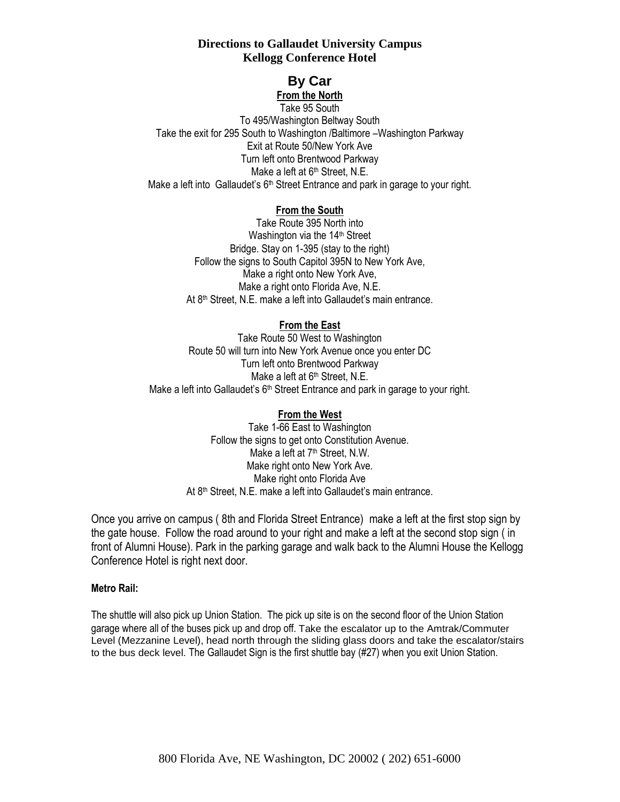# **Directions to Gallaudet University Campus Kellogg Conference Hotel**

# **By Car**

**From the North** Take 95 South To 495/Washington Beltway South Take the exit for 295 South to Washington /Baltimore –Washington Parkway Exit at Route 50/New York Ave Turn left onto Brentwood Parkway Make a left at 6<sup>th</sup> Street, N.E. Make a left into Gallaudet's 6<sup>th</sup> Street Entrance and park in garage to your right.

## **From the South**

Take Route 395 North into Washington via the 14<sup>th</sup> Street Bridge. Stay on 1-395 (stay to the right) Follow the signs to South Capitol 395N to New York Ave, Make a right onto New York Ave, Make a right onto Florida Ave, N.E. At 8th Street, N.E. make a left into Gallaudet's main entrance.

# **From the East**

Take Route 50 West to Washington Route 50 will turn into New York Avenue once you enter DC Turn left onto Brentwood Parkway Make a left at  $6<sup>th</sup>$  Street, N.E. Make a left into Gallaudet's 6<sup>th</sup> Street Entrance and park in garage to your right.

## **From the West**

Take 1-66 East to Washington Follow the signs to get onto Constitution Avenue. Make a left at 7<sup>th</sup> Street, N.W. Make right onto New York Ave. Make right onto Florida Ave At 8th Street, N.E. make a left into Gallaudet's main entrance.

Once you arrive on campus ( 8th and Florida Street Entrance) make a left at the first stop sign by the gate house. Follow the road around to your right and make a left at the second stop sign ( in front of Alumni House). Park in the parking garage and walk back to the Alumni House the Kellogg Conference Hotel is right next door.

## **Metro Rail:**

The shuttle will also pick up Union Station. The pick up site is on the second floor of the Union Station garage where all of the buses pick up and drop off. Take the escalator up to the Amtrak/Commuter Level (Mezzanine Level), head north through the sliding glass doors and take the escalator/stairs to the bus deck level. The Gallaudet Sign is the first shuttle bay (#27) when you exit Union Station.